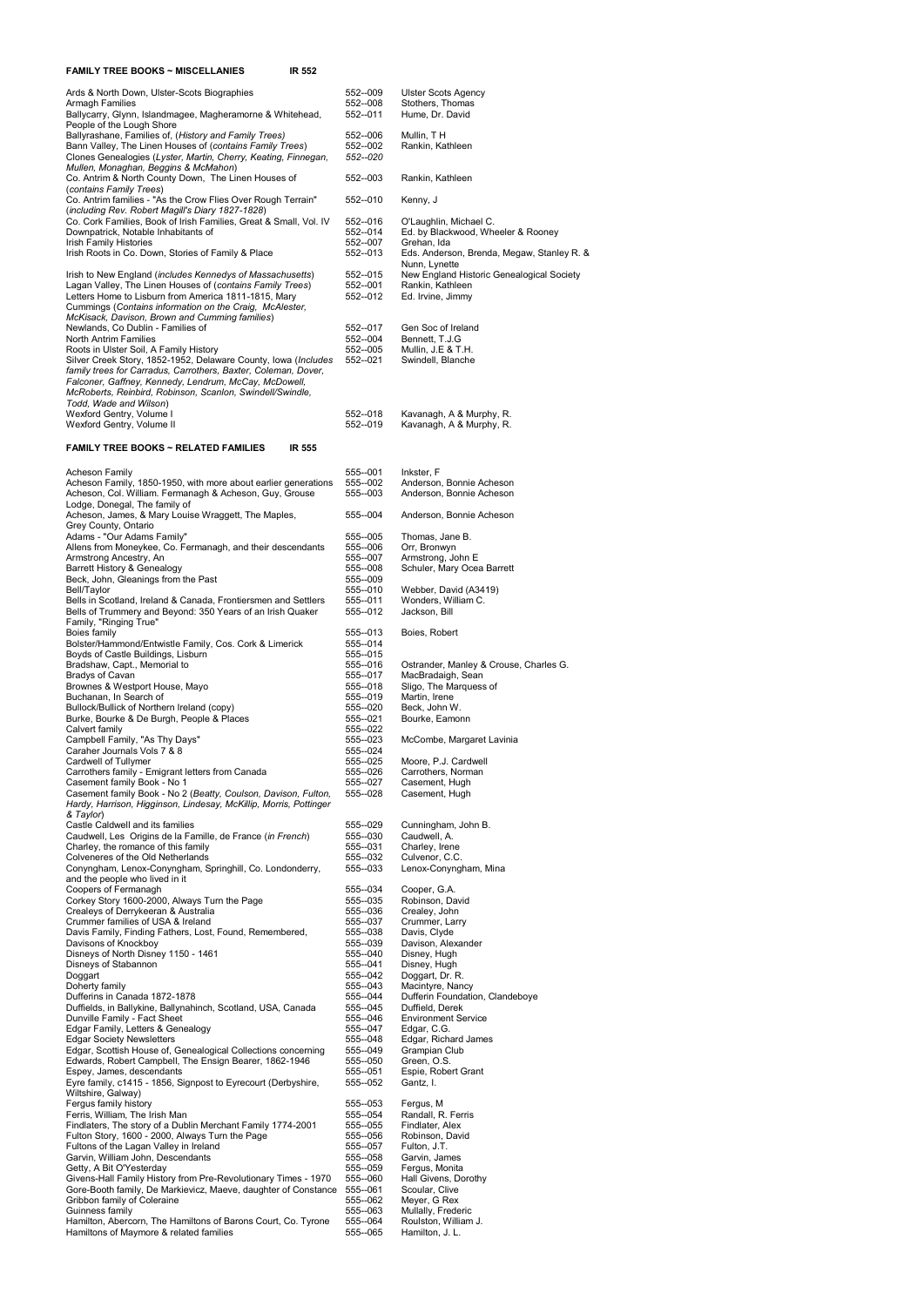| <b>FAMILY TREE BOOKS ~ MISCELLANIES</b><br>IR 552                                                                                                                                                                                                                                                |                                               |                                                                                                                           |
|--------------------------------------------------------------------------------------------------------------------------------------------------------------------------------------------------------------------------------------------------------------------------------------------------|-----------------------------------------------|---------------------------------------------------------------------------------------------------------------------------|
| Ards & North Down, Ulster-Scots Biographies<br>Armagh Families<br>Ballycarry, Glynn, Islandmagee, Magheramorne & Whitehead,<br>People of the Lough Shore                                                                                                                                         | 552--009<br>552--008<br>552--011              | Ulster Scots Agency<br>Stothers, Thomas<br>Hume, Dr. David                                                                |
| Ballyrashane, Families of, (History and Family Trees)<br>Bann Valley, The Linen Houses of (contains Family Trees)<br>Clones Genealogies (Lyster, Martin, Cherry, Keating, Finnegan,<br>Mullen, Monaghan, Beggins & McMahon)                                                                      | 552--006<br>552--002<br>552--020              | Mullin, TH<br>Rankin, Kathleen                                                                                            |
| Co. Antrim & North County Down, The Linen Houses of<br>(contains Family Trees)                                                                                                                                                                                                                   | 552--003                                      | Rankin, Kathleen                                                                                                          |
| Co. Antrim families - "As the Crow Flies Over Rough Terrain"<br>(including Rev. Robert Magill's Diary 1827-1828)                                                                                                                                                                                 | 552--010                                      | Kenny, J                                                                                                                  |
| Co. Cork Families, Book of Irish Families, Great & Small, Vol. IV<br>Downpatrick, Notable Inhabitants of<br>Irish Family Histories<br>Irish Roots in Co. Down, Stories of Family & Place                                                                                                         | 552--016<br>552--014<br>552 -- 007<br>552-013 | O'Laughlin, Michael C.<br>Ed. by Blackwood, Wheeler & Rooney<br>Grehan, Ida<br>Eds. Anderson, Brenda, Megaw, Stanley R. & |
| Irish to New England (includes Kennedys of Massachusetts)<br>Lagan Valley, The Linen Houses of (contains Family Trees)<br>Letters Home to Lisburn from America 1811-1815, Mary<br>Cummings (Contains information on the Craig, McAlester,<br>McKisack, Davison, Brown and Cumming families)      | 552-015<br>552--001<br>552--012               | Nunn, Lynette<br>New England Historic Genealogical Society<br>Rankin, Kathleen<br>Ed. Irvine, Jimmy                       |
| Newlands, Co Dublin - Families of<br>North Antrim Families                                                                                                                                                                                                                                       | 552--017<br>552--004                          | Gen Soc of Ireland<br>Bennett, T.J.G                                                                                      |
| Roots in Ulster Soil, A Family History<br>Silver Creek Story, 1852-1952, Delaware County, Iowa (Includes<br>family trees for Carradus, Carrothers, Baxter, Coleman, Dover,<br>Falconer, Gaffney, Kennedy, Lendrum, McCay, McDowell,<br>McRoberts, Reinbird, Robinson, Scanlon, Swindell/Swindle, | 552 -- 005<br>552--021                        | Mullin, J.E & T.H.<br>Swindell, Blanche                                                                                   |
| Todd, Wade and Wilson)<br>Wexford Gentry, Volume I                                                                                                                                                                                                                                               | 552-018                                       | Kavanagh, A & Murphy, R.                                                                                                  |
| Wexford Gentry, Volume II                                                                                                                                                                                                                                                                        | 552--019                                      | Kavanagh, A & Murphy, R.                                                                                                  |
| <b>FAMILY TREE BOOKS ~ RELATED FAMILIES</b><br>IR 555                                                                                                                                                                                                                                            |                                               |                                                                                                                           |
| <b>Acheson Family</b><br>Acheson Family, 1850-1950, with more about earlier generations<br>Acheson, Col. William. Fermanagh & Acheson, Guy, Grouse<br>Lodge, Donegal, The family of                                                                                                              | 555 -- 001<br>555--002<br>555-003             | Inkster, F<br>Anderson, Bonnie Acheson<br>Anderson, Bonnie Acheson                                                        |
| Acheson, James, & Mary Louise Wraggett, The Maples,<br>Grey County, Ontario                                                                                                                                                                                                                      | 555--004                                      | Anderson, Bonnie Acheson                                                                                                  |
| Adams - "Our Adams Family"<br>Allens from Moneykee, Co. Fermanagh, and their descendants                                                                                                                                                                                                         | 555--005<br>555--006                          | Thomas, Jane B.<br>Orr, Bronwyn                                                                                           |
| Armstrong Ancestry, An<br>Barrett History & Genealogy                                                                                                                                                                                                                                            | 555--007<br>555--008                          | Armstrong, John E<br>Schuler, Mary Ocea Barrett                                                                           |
| Beck, John, Gleanings from the Past<br>Bell/Taylor                                                                                                                                                                                                                                               | 555--009<br>555--010                          | Webber, David (A3419)                                                                                                     |
| Bells in Scotland, Ireland & Canada, Frontiersmen and Settlers<br>Bells of Trummery and Beyond: 350 Years of an Irish Quaker                                                                                                                                                                     | 555-011<br>555--012                           | Wonders, William C.<br>Jackson, Bill                                                                                      |
| Family, "Ringing True"<br>Boies family                                                                                                                                                                                                                                                           | 555--013                                      | Boies, Robert                                                                                                             |
| Bolster/Hammond/Entwistle Family, Cos. Cork & Limerick<br>Boyds of Castle Buildings, Lisburn                                                                                                                                                                                                     | 555--014<br>555--015                          |                                                                                                                           |
| Bradshaw, Capt., Memorial to<br>Bradys of Cavan                                                                                                                                                                                                                                                  | 555--016<br>555--017                          | Ostrander, Manley & Crouse, Charles G.<br>MacBradaigh, Sean                                                               |
| Brownes & Westport House, Mayo<br>Buchanan, In Search of                                                                                                                                                                                                                                         | 555--018<br>555--019                          | Sligo, The Marquess of<br>Martin, Irene                                                                                   |
| Bullock/Bullick of Northern Ireland (copy)<br>Burke, Bourke & De Burgh, People & Places                                                                                                                                                                                                          | 555--020<br>555--021                          | Beck, John W.<br>Bourke, Eamonn                                                                                           |
| Calvert family<br>Campbell Family, "As Thy Days"                                                                                                                                                                                                                                                 | 555--022<br>555-023                           | McCombe, Margaret Lavinia                                                                                                 |
| Caraher Journals Vols 7 & 8<br>Cardwell of Tullymer                                                                                                                                                                                                                                              | 555--024<br>555--025                          | Moore, P.J. Cardwell                                                                                                      |
| Carrothers family - Emigrant letters from Canada<br>Casement family Book - No 1                                                                                                                                                                                                                  | 555--026<br>555 -- 027                        | Carrothers, Norman<br>Casement, Hugh                                                                                      |
| Casement family Book - No 2 (Beatty, Coulson, Davison, Fulton,<br>Hardy, Harrison, Higginson, Lindesay, McKillip, Morris, Pottinger<br>& Taylor)                                                                                                                                                 | 555--028                                      | Casement, Hugh                                                                                                            |
| Castle Caldwell and its families<br>Caudwell, Les Origins de la Famille, de France (in French)                                                                                                                                                                                                   | 555--029<br>555--030                          | Cunningham, John B.<br>Caudwell, A.                                                                                       |
| Charley, the romance of this family<br>Colveneres of the Old Netherlands                                                                                                                                                                                                                         | 555--031<br>555-032                           | Charley, Irene<br>Culvenor, C.C.                                                                                          |
| Conyngham, Lenox-Conyngham, Springhill, Co. Londonderry,<br>and the people who lived in it                                                                                                                                                                                                       | 555--033                                      | Lenox-Conyngham, Mina                                                                                                     |
| Coopers of Fermanagh<br>Corkey Story 1600-2000, Always Turn the Page                                                                                                                                                                                                                             | 555-034<br>555--035                           | Cooper, G.A.<br>Robinson, David                                                                                           |
| Crealevs of Derrykeeran & Australia<br>Crummer families of USA & Ireland                                                                                                                                                                                                                         | 555--036<br>555--037                          | Crealey, John<br>Crummer, Larry                                                                                           |
| Davis Family, Finding Fathers, Lost, Found, Remembered,                                                                                                                                                                                                                                          | 555-038                                       | Davis, Clyde                                                                                                              |
| Davisons of Knockboy<br>Disneys of North Disney 1150 - 1461                                                                                                                                                                                                                                      | 555--039<br>555--040                          | Davison, Alexander<br>Disney, Hugh                                                                                        |
| Disneys of Stabannon<br>Doggart                                                                                                                                                                                                                                                                  | 555 -- 041<br>555--042                        | Disney, Hugh<br>Doggart, Dr. R.                                                                                           |
| Doherty family                                                                                                                                                                                                                                                                                   | 555--043                                      | Macintyre, Nancy                                                                                                          |
| Dufferins in Canada 1872-1878<br>Duffields, in Ballykine, Ballynahinch, Scotland, USA, Canada                                                                                                                                                                                                    | 555--044<br>555-045                           | Dufferin Foundation, Clandeboye<br>Duffield, Derek                                                                        |
| Dunville Family - Fact Sheet<br>Edgar Family, Letters & Genealogy                                                                                                                                                                                                                                | 555-046<br>555--047                           | <b>Environment Service</b><br>Edgar, C.G.                                                                                 |
| <b>Edgar Society Newsletters</b><br>Edgar, Scottish House of, Genealogical Collections concerning                                                                                                                                                                                                | 555--048<br>555--049                          | Edgar, Richard James<br>Grampian Club                                                                                     |
| Edwards, Robert Campbell, The Ensign Bearer, 1862-1946<br>Espey, James, descendants                                                                                                                                                                                                              | 555--050<br>555-051                           | Green, O.S.<br>Espie, Robert Grant                                                                                        |
| Eyre family, c1415 - 1856, Signpost to Eyrecourt (Derbyshire,                                                                                                                                                                                                                                    | 555--052                                      | Gantz, I.                                                                                                                 |
| Wiltshire, Galway)<br>Fergus family history                                                                                                                                                                                                                                                      | 555--053                                      | Fergus, M                                                                                                                 |
| Ferris, William, The Irish Man<br>Findlaters, The story of a Dublin Merchant Family 1774-2001                                                                                                                                                                                                    | 555--054<br>555 -- 055                        | Randall, R. Ferris<br>Findlater, Alex                                                                                     |
| Fulton Story, 1600 - 2000, Always Turn the Page<br>Fultons of the Lagan Valley in Ireland                                                                                                                                                                                                        | 555--056<br>555--057                          | Robinson, David<br>Fulton, J.T.                                                                                           |
| Garvin, William John, Descendants                                                                                                                                                                                                                                                                | 555--058                                      | Garvin, James                                                                                                             |
| Getty, A Bit O'Yesterday<br>Givens-Hall Family History from Pre-Revolutionary Times - 1970                                                                                                                                                                                                       | 555-059<br>555--060                           | Fergus, Monita<br>Hall Givens, Dorothy                                                                                    |
| Gore-Booth family, De Markievicz, Maeve, daughter of Constance<br>Gribbon family of Coleraine                                                                                                                                                                                                    | 555--061<br>555--062                          | Scoular, Clive<br>Meyer, G Rex                                                                                            |
| Guinness family<br>Hamilton, Abercorn, The Hamiltons of Barons Court, Co. Tyrone                                                                                                                                                                                                                 | 555--063<br>555--064                          | Mullally, Frederic<br>Roulston, William J.                                                                                |
| Hamiltons of Maymore & related families                                                                                                                                                                                                                                                          | 555--065                                      | Hamilton, J. L.                                                                                                           |